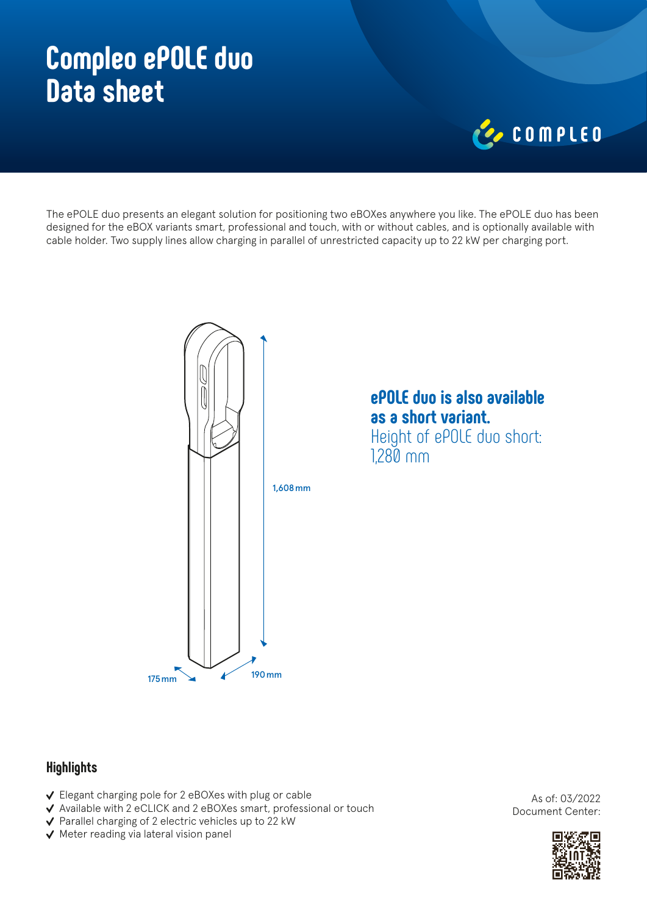# **Compleo ePOLE duo Data sheet**

# COMPLED

The ePOLE duo presents an elegant solution for positioning two eBOXes anywhere you like. The ePOLE duo has been designed for the eBOX variants smart, professional and touch, with or without cables, and is optionally available with cable holder. Two supply lines allow charging in parallel of unrestricted capacity up to 22 kW per charging port.



## **ePOLE duo is also available as a short variant.** Height of ePOLE duo short:

1,280 mm

### **Highlights**

- Elegant charging pole for 2 eBOXes with plug or cable
- Available with 2 eCLICK and 2 eBOXes smart, professional or touch
- ◆ Parallel charging of 2 electric vehicles up to 22 kW
- $\checkmark$  Meter reading via lateral vision panel

As of: 03/2022 Document Center: